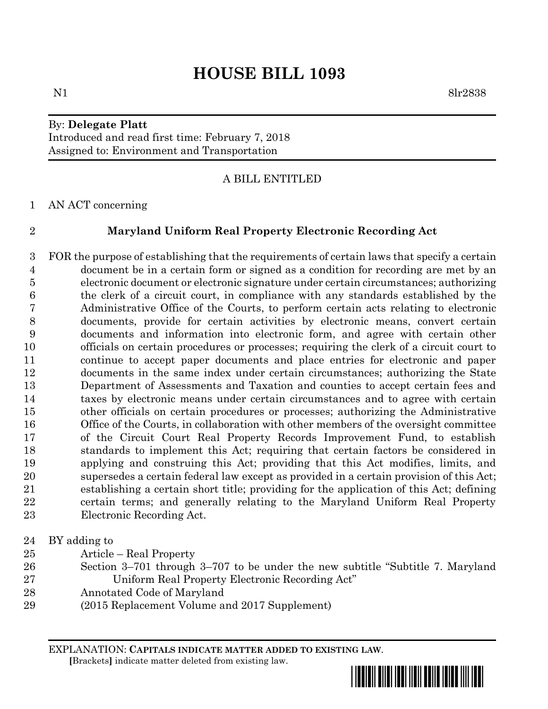# **HOUSE BILL 1093**

### By: **Delegate Platt** Introduced and read first time: February 7, 2018 Assigned to: Environment and Transportation

### A BILL ENTITLED

AN ACT concerning

### **Maryland Uniform Real Property Electronic Recording Act**

 FOR the purpose of establishing that the requirements of certain laws that specify a certain document be in a certain form or signed as a condition for recording are met by an electronic document or electronic signature under certain circumstances; authorizing the clerk of a circuit court, in compliance with any standards established by the Administrative Office of the Courts, to perform certain acts relating to electronic documents, provide for certain activities by electronic means, convert certain documents and information into electronic form, and agree with certain other officials on certain procedures or processes; requiring the clerk of a circuit court to continue to accept paper documents and place entries for electronic and paper documents in the same index under certain circumstances; authorizing the State Department of Assessments and Taxation and counties to accept certain fees and taxes by electronic means under certain circumstances and to agree with certain other officials on certain procedures or processes; authorizing the Administrative Office of the Courts, in collaboration with other members of the oversight committee of the Circuit Court Real Property Records Improvement Fund, to establish standards to implement this Act; requiring that certain factors be considered in applying and construing this Act; providing that this Act modifies, limits, and supersedes a certain federal law except as provided in a certain provision of this Act; establishing a certain short title; providing for the application of this Act; defining certain terms; and generally relating to the Maryland Uniform Real Property Electronic Recording Act.

- BY adding to
- Article Real Property
- Section 3–701 through 3–707 to be under the new subtitle "Subtitle 7. Maryland Uniform Real Property Electronic Recording Act"
- Annotated Code of Maryland
- (2015 Replacement Volume and 2017 Supplement)

EXPLANATION: **CAPITALS INDICATE MATTER ADDED TO EXISTING LAW**.  **[**Brackets**]** indicate matter deleted from existing law.

\*hb1093\*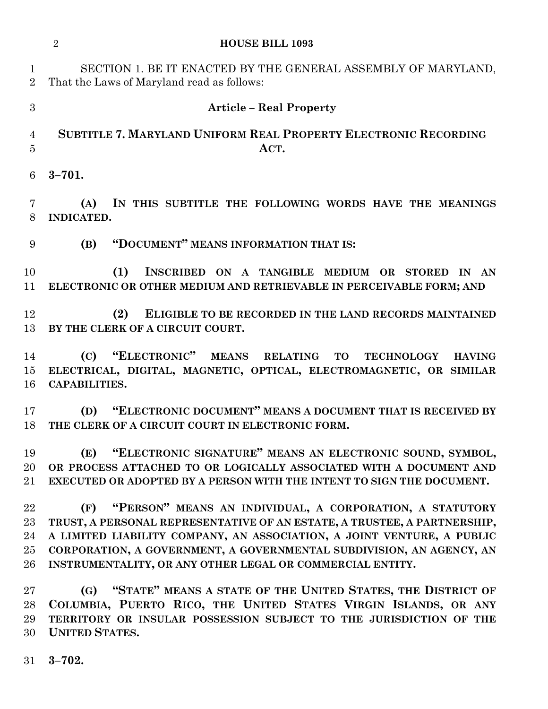|                                | $\overline{2}$<br><b>HOUSE BILL 1093</b>                                                                                                                                                                                                                                                                                                                |
|--------------------------------|---------------------------------------------------------------------------------------------------------------------------------------------------------------------------------------------------------------------------------------------------------------------------------------------------------------------------------------------------------|
| $\mathbf{1}$<br>$\overline{2}$ | SECTION 1. BE IT ENACTED BY THE GENERAL ASSEMBLY OF MARYLAND,<br>That the Laws of Maryland read as follows:                                                                                                                                                                                                                                             |
| 3                              | <b>Article – Real Property</b>                                                                                                                                                                                                                                                                                                                          |
| 4<br>$\overline{5}$            | SUBTITLE 7. MARYLAND UNIFORM REAL PROPERTY ELECTRONIC RECORDING<br>ACT.                                                                                                                                                                                                                                                                                 |
| 6                              | $3 - 701.$                                                                                                                                                                                                                                                                                                                                              |
| $\overline{7}$<br>8            | IN THIS SUBTITLE THE FOLLOWING WORDS HAVE THE MEANINGS<br>(A)<br>INDICATED.                                                                                                                                                                                                                                                                             |
| 9                              | "DOCUMENT" MEANS INFORMATION THAT IS:<br>(B)                                                                                                                                                                                                                                                                                                            |
| 10<br>11                       | (1)<br>INSCRIBED ON A TANGIBLE MEDIUM OR STORED IN AN<br>ELECTRONIC OR OTHER MEDIUM AND RETRIEVABLE IN PERCEIVABLE FORM; AND                                                                                                                                                                                                                            |
| 12<br>13                       | (2)<br>ELIGIBLE TO BE RECORDED IN THE LAND RECORDS MAINTAINED<br>BY THE CLERK OF A CIRCUIT COURT.                                                                                                                                                                                                                                                       |
| 14<br>15<br>16                 | "ELECTRONIC"<br>(C)<br><b>MEANS</b><br><b>RELATING</b><br><b>TO</b><br><b>TECHNOLOGY</b><br><b>HAVING</b><br>ELECTRICAL, DIGITAL, MAGNETIC, OPTICAL, ELECTROMAGNETIC, OR SIMILAR<br>CAPABILITIES.                                                                                                                                                       |
| 17<br>18                       | "ELECTRONIC DOCUMENT" MEANS A DOCUMENT THAT IS RECEIVED BY<br>(D)<br>THE CLERK OF A CIRCUIT COURT IN ELECTRONIC FORM.                                                                                                                                                                                                                                   |
| 19<br>20<br>21                 | "ELECTRONIC SIGNATURE" MEANS AN ELECTRONIC SOUND, SYMBOL,<br>(E)<br>OR PROCESS ATTACHED TO OR LOGICALLY ASSOCIATED WITH A DOCUMENT AND<br><b>EXECUTED OR ADOPTED BY A PERSON WITH THE INTENT TO SIGN THE DOCUMENT.</b>                                                                                                                                  |
| 22<br>23<br>24<br>25<br>26     | (F) "PERSON" MEANS AN INDIVIDUAL, A CORPORATION, A STATUTORY<br>TRUST, A PERSONAL REPRESENTATIVE OF AN ESTATE, A TRUSTEE, A PARTNERSHIP,<br>A LIMITED LIABILITY COMPANY, AN ASSOCIATION, A JOINT VENTURE, A PUBLIC<br>CORPORATION, A GOVERNMENT, A GOVERNMENTAL SUBDIVISION, AN AGENCY, AN<br>INSTRUMENTALITY, OR ANY OTHER LEGAL OR COMMERCIAL ENTITY. |
| 27<br>28<br>29<br>30           | "STATE" MEANS A STATE OF THE UNITED STATES, THE DISTRICT OF<br>(G)<br>COLUMBIA, PUERTO RICO, THE UNITED STATES VIRGIN ISLANDS, OR ANY<br>TERRITORY OR INSULAR POSSESSION SUBJECT TO THE JURISDICTION OF THE<br><b>UNITED STATES.</b>                                                                                                                    |
| 31                             | $3 - 702.$                                                                                                                                                                                                                                                                                                                                              |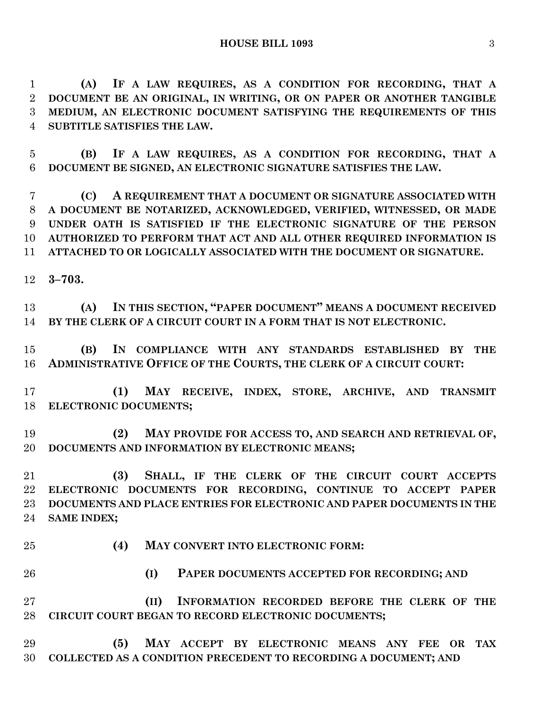**(A) IF A LAW REQUIRES, AS A CONDITION FOR RECORDING, THAT A DOCUMENT BE AN ORIGINAL, IN WRITING, OR ON PAPER OR ANOTHER TANGIBLE MEDIUM, AN ELECTRONIC DOCUMENT SATISFYING THE REQUIREMENTS OF THIS SUBTITLE SATISFIES THE LAW.**

 **(B) IF A LAW REQUIRES, AS A CONDITION FOR RECORDING, THAT A DOCUMENT BE SIGNED, AN ELECTRONIC SIGNATURE SATISFIES THE LAW.**

 **(C) A REQUIREMENT THAT A DOCUMENT OR SIGNATURE ASSOCIATED WITH A DOCUMENT BE NOTARIZED, ACKNOWLEDGED, VERIFIED, WITNESSED, OR MADE UNDER OATH IS SATISFIED IF THE ELECTRONIC SIGNATURE OF THE PERSON AUTHORIZED TO PERFORM THAT ACT AND ALL OTHER REQUIRED INFORMATION IS ATTACHED TO OR LOGICALLY ASSOCIATED WITH THE DOCUMENT OR SIGNATURE.**

**3–703.**

 **(A) IN THIS SECTION, "PAPER DOCUMENT" MEANS A DOCUMENT RECEIVED BY THE CLERK OF A CIRCUIT COURT IN A FORM THAT IS NOT ELECTRONIC.**

 **(B) IN COMPLIANCE WITH ANY STANDARDS ESTABLISHED BY THE ADMINISTRATIVE OFFICE OF THE COURTS, THE CLERK OF A CIRCUIT COURT:**

 **(1) MAY RECEIVE, INDEX, STORE, ARCHIVE, AND TRANSMIT ELECTRONIC DOCUMENTS;**

 **(2) MAY PROVIDE FOR ACCESS TO, AND SEARCH AND RETRIEVAL OF, DOCUMENTS AND INFORMATION BY ELECTRONIC MEANS;**

 **(3) SHALL, IF THE CLERK OF THE CIRCUIT COURT ACCEPTS ELECTRONIC DOCUMENTS FOR RECORDING, CONTINUE TO ACCEPT PAPER DOCUMENTS AND PLACE ENTRIES FOR ELECTRONIC AND PAPER DOCUMENTS IN THE SAME INDEX;**

**(4) MAY CONVERT INTO ELECTRONIC FORM:**

**(I) PAPER DOCUMENTS ACCEPTED FOR RECORDING; AND**

 **(II) INFORMATION RECORDED BEFORE THE CLERK OF THE CIRCUIT COURT BEGAN TO RECORD ELECTRONIC DOCUMENTS;**

 **(5) MAY ACCEPT BY ELECTRONIC MEANS ANY FEE OR TAX COLLECTED AS A CONDITION PRECEDENT TO RECORDING A DOCUMENT; AND**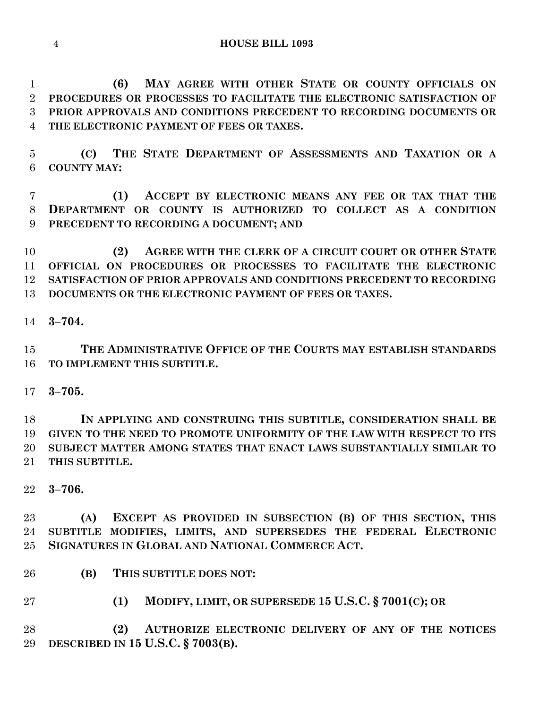**(6) MAY AGREE WITH OTHER STATE OR COUNTY OFFICIALS ON PROCEDURES OR PROCESSES TO FACILITATE THE ELECTRONIC SATISFACTION OF PRIOR APPROVALS AND CONDITIONS PRECEDENT TO RECORDING DOCUMENTS OR THE ELECTRONIC PAYMENT OF FEES OR TAXES.**

 **(C) THE STATE DEPARTMENT OF ASSESSMENTS AND TAXATION OR A COUNTY MAY:**

 **(1) ACCEPT BY ELECTRONIC MEANS ANY FEE OR TAX THAT THE DEPARTMENT OR COUNTY IS AUTHORIZED TO COLLECT AS A CONDITION PRECEDENT TO RECORDING A DOCUMENT; AND**

 **(2) AGREE WITH THE CLERK OF A CIRCUIT COURT OR OTHER STATE OFFICIAL ON PROCEDURES OR PROCESSES TO FACILITATE THE ELECTRONIC SATISFACTION OF PRIOR APPROVALS AND CONDITIONS PRECEDENT TO RECORDING DOCUMENTS OR THE ELECTRONIC PAYMENT OF FEES OR TAXES.**

**3–704.**

 **THE ADMINISTRATIVE OFFICE OF THE COURTS MAY ESTABLISH STANDARDS TO IMPLEMENT THIS SUBTITLE.**

**3–705.**

 **IN APPLYING AND CONSTRUING THIS SUBTITLE, CONSIDERATION SHALL BE GIVEN TO THE NEED TO PROMOTE UNIFORMITY OF THE LAW WITH RESPECT TO ITS SUBJECT MATTER AMONG STATES THAT ENACT LAWS SUBSTANTIALLY SIMILAR TO THIS SUBTITLE.**

**3–706.**

 **(A) EXCEPT AS PROVIDED IN SUBSECTION (B) OF THIS SECTION, THIS SUBTITLE MODIFIES, LIMITS, AND SUPERSEDES THE FEDERAL ELECTRONIC SIGNATURES IN GLOBAL AND NATIONAL COMMERCE ACT.**

- **(B) THIS SUBTITLE DOES NOT:**
- **(1) MODIFY, LIMIT, OR SUPERSEDE 15 U.S.C. § 7001(C); OR**

 **(2) AUTHORIZE ELECTRONIC DELIVERY OF ANY OF THE NOTICES DESCRIBED IN 15 U.S.C. § 7003(B).**